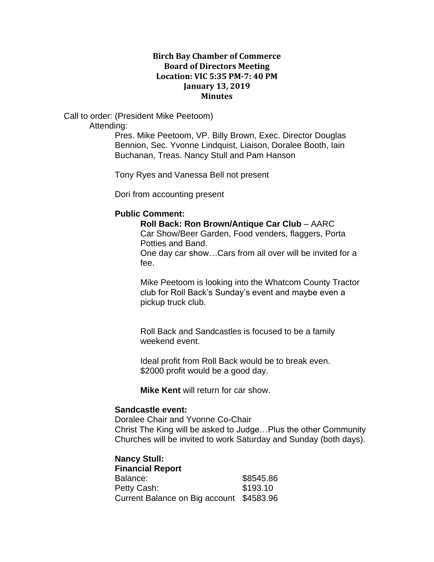## **Birch Bay Chamber of Commerce Board of Directors Meeting Location: VIC 5:35 PM-7: 40 PM January 13, 2019 Minutes**

Call to order: (President Mike Peetoom) Attending:

> Pres. Mike Peetoom, VP. Billy Brown, Exec. Director Douglas Bennion, Sec. Yvonne Lindquist, Liaison, Doralee Booth, Iain Buchanan, Treas. Nancy Stull and Pam Hanson

Tony Ryes and Vanessa Bell not present

Dori from accounting present

#### **Public Comment:**

#### **Roll Back: Ron Brown/Antique Car Club** – AARC Car Show/Beer Garden, Food venders, flaggers, Porta

Potties and Band.

One day car show…Cars from all over will be invited for a fee.

Mike Peetoom is looking into the Whatcom County Tractor club for Roll Back's Sunday's event and maybe even a pickup truck club.

Roll Back and Sandcastles is focused to be a family weekend event.

Ideal profit from Roll Back would be to break even. \$2000 profit would be a good day.

**Mike Kent** will return for car show.

## **Sandcastle event:**

Doralee Chair and Yvonne Co-Chair Christ The King will be asked to Judge…Plus the other Community Churches will be invited to work Saturday and Sunday (both days).

**Nancy Stull: Financial Report** Balance: \$8545.86 Petty Cash: \$193.10 Current Balance on Big account \$4583.96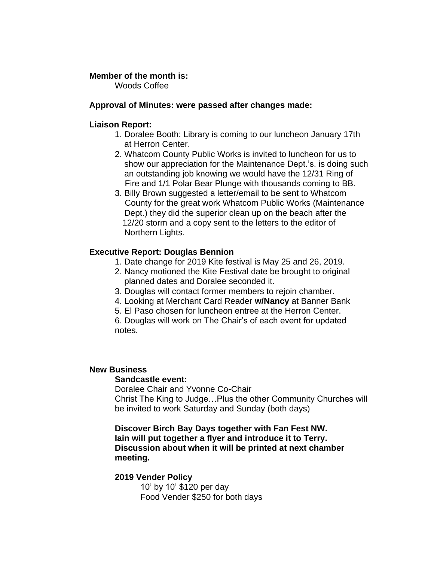## **Member of the month is:**

Woods Coffee

## **Approval of Minutes: were passed after changes made:**

## **Liaison Report:**

- 1. Doralee Booth: Library is coming to our luncheon January 17th at Herron Center.
- 2. Whatcom County Public Works is invited to luncheon for us to show our appreciation for the Maintenance Dept.'s. is doing such an outstanding job knowing we would have the 12/31 Ring of Fire and 1/1 Polar Bear Plunge with thousands coming to BB.
- 3. Billy Brown suggested a letter/email to be sent to Whatcom County for the great work Whatcom Public Works (Maintenance Dept.) they did the superior clean up on the beach after the 12/20 storm and a copy sent to the letters to the editor of Northern Lights.

## **Executive Report: Douglas Bennion**

- 1. Date change for 2019 Kite festival is May 25 and 26, 2019.
- 2. Nancy motioned the Kite Festival date be brought to original planned dates and Doralee seconded it.
- 3. Douglas will contact former members to rejoin chamber.
- 4. Looking at Merchant Card Reader **w/Nancy** at Banner Bank
- 5. El Paso chosen for luncheon entree at the Herron Center.

6. Douglas will work on The Chair's of each event for updated notes.

## **New Business**

## **Sandcastle event:**

Doralee Chair and Yvonne Co-Chair Christ The King to Judge…Plus the other Community Churches will be invited to work Saturday and Sunday (both days)

**Discover Birch Bay Days together with Fan Fest NW. Iain will put together a flyer and introduce it to Terry. Discussion about when it will be printed at next chamber meeting.**

# **2019 Vender Policy**

10' by 10' \$120 per day Food Vender \$250 for both days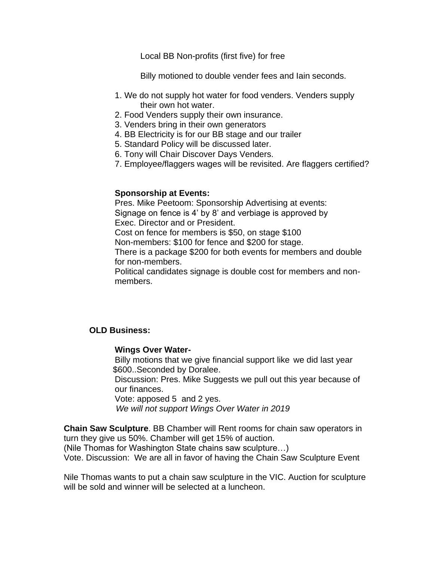Local BB Non-profits (first five) for free

Billy motioned to double vender fees and Iain seconds.

- 1. We do not supply hot water for food venders. Venders supply their own hot water.
- 2. Food Venders supply their own insurance.
- 3. Venders bring in their own generators
- 4. BB Electricity is for our BB stage and our trailer
- 5. Standard Policy will be discussed later.
- 6. Tony will Chair Discover Days Venders.
- 7. Employee/flaggers wages will be revisited. Are flaggers certified?

## **Sponsorship at Events:**

Pres. Mike Peetoom: Sponsorship Advertising at events: Signage on fence is 4' by 8' and verbiage is approved by Exec. Director and or President.

Cost on fence for members is \$50, on stage \$100

Non-members: \$100 for fence and \$200 for stage.

There is a package \$200 for both events for members and double for non-members.

Political candidates signage is double cost for members and nonmembers.

## **OLD Business:**

## **Wings Over Water-**

Billy motions that we give financial support like we did last year \$600..Seconded by Doralee.

Discussion: Pres. Mike Suggests we pull out this year because of our finances.

Vote: apposed 5 and 2 yes.

*We will not support Wings Over Water in 2019*

**Chain Saw Sculpture**. BB Chamber will Rent rooms for chain saw operators in turn they give us 50%. Chamber will get 15% of auction.

(Nile Thomas for Washington State chains saw sculpture…)

Vote. Discussion: We are all in favor of having the Chain Saw Sculpture Event

Nile Thomas wants to put a chain saw sculpture in the VIC. Auction for sculpture will be sold and winner will be selected at a luncheon.